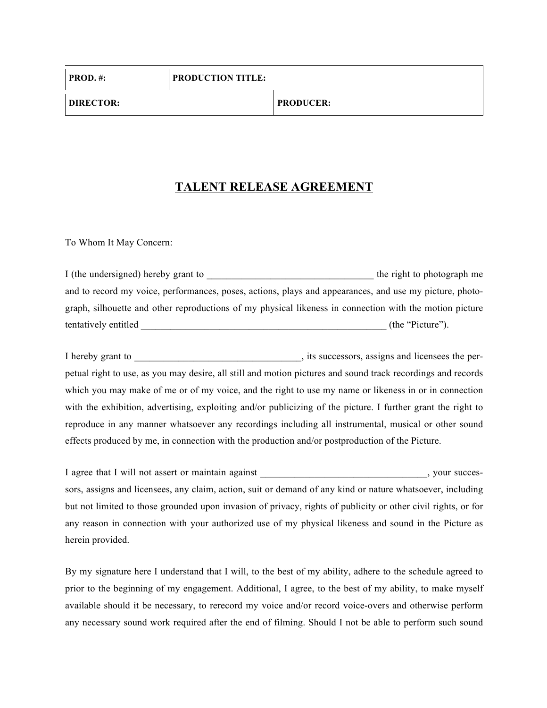## **TALENT RELEASE AGREEMENT**

To Whom It May Concern:

I (the undersigned) hereby grant to \_\_\_\_\_\_\_\_\_\_\_\_\_\_\_\_\_\_\_\_\_\_\_\_\_\_\_\_\_\_\_\_\_\_ the right to photograph me and to record my voice, performances, poses, actions, plays and appearances, and use my picture, photograph, silhouette and other reproductions of my physical likeness in connection with the motion picture tentatively entitled (the "Picture").

I hereby grant to \_\_\_\_\_\_\_\_\_\_\_\_\_\_\_\_\_\_\_\_\_\_\_\_\_\_\_\_\_\_\_\_\_\_, its successors, assigns and licensees the perpetual right to use, as you may desire, all still and motion pictures and sound track recordings and records which you may make of me or of my voice, and the right to use my name or likeness in or in connection with the exhibition, advertising, exploiting and/or publicizing of the picture. I further grant the right to reproduce in any manner whatsoever any recordings including all instrumental, musical or other sound effects produced by me, in connection with the production and/or postproduction of the Picture.

I agree that I will not assert or maintain against \_\_\_\_\_\_\_\_\_\_\_\_\_\_\_\_\_\_\_\_\_\_\_\_\_, your successors, assigns and licensees, any claim, action, suit or demand of any kind or nature whatsoever, including but not limited to those grounded upon invasion of privacy, rights of publicity or other civil rights, or for any reason in connection with your authorized use of my physical likeness and sound in the Picture as herein provided.

By my signature here I understand that I will, to the best of my ability, adhere to the schedule agreed to prior to the beginning of my engagement. Additional, I agree, to the best of my ability, to make myself available should it be necessary, to rerecord my voice and/or record voice-overs and otherwise perform any necessary sound work required after the end of filming. Should I not be able to perform such sound